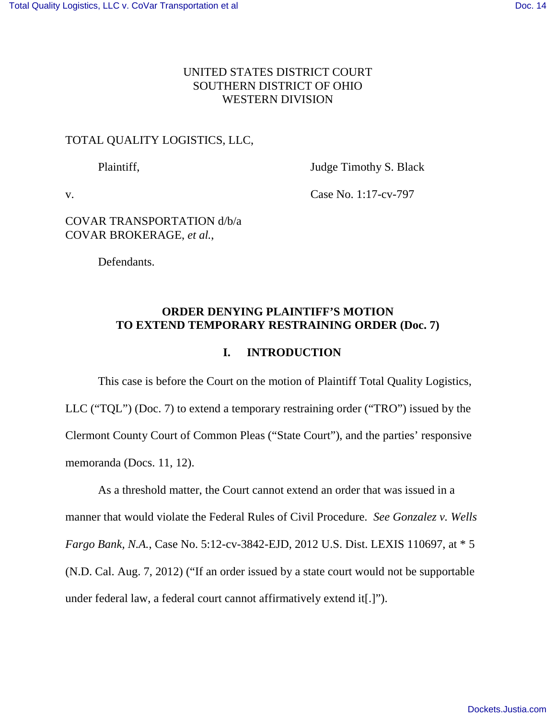## UNITED STATES DISTRICT COURT SOUTHERN DISTRICT OF OHIO WESTERN DIVISION

### TOTAL QUALITY LOGISTICS, LLC,

Plaintiff, Judge Timothy S. Black

v. Case No. 1:17-cv-797

### COVAR TRANSPORTATION d/b/a COVAR BROKERAGE, *et al.*,

Defendants.

## **ORDER DENYING PLAINTIFF'S MOTION TO EXTEND TEMPORARY RESTRAINING ORDER (Doc. 7)**

## **I. INTRODUCTION**

This case is before the Court on the motion of Plaintiff Total Quality Logistics, LLC ("TQL") (Doc. 7) to extend a temporary restraining order ("TRO") issued by the Clermont County Court of Common Pleas ("State Court"), and the parties' responsive memoranda (Docs. 11, 12).

As a threshold matter, the Court cannot extend an order that was issued in a manner that would violate the Federal Rules of Civil Procedure. *See Gonzalez v. Wells Fargo Bank, N.A.*, Case No. 5:12-cv-3842-EJD, 2012 U.S. Dist. LEXIS 110697, at \* 5 (N.D. Cal. Aug. 7, 2012) ("If an order issued by a state court would not be supportable under federal law, a federal court cannot affirmatively extend it[.]").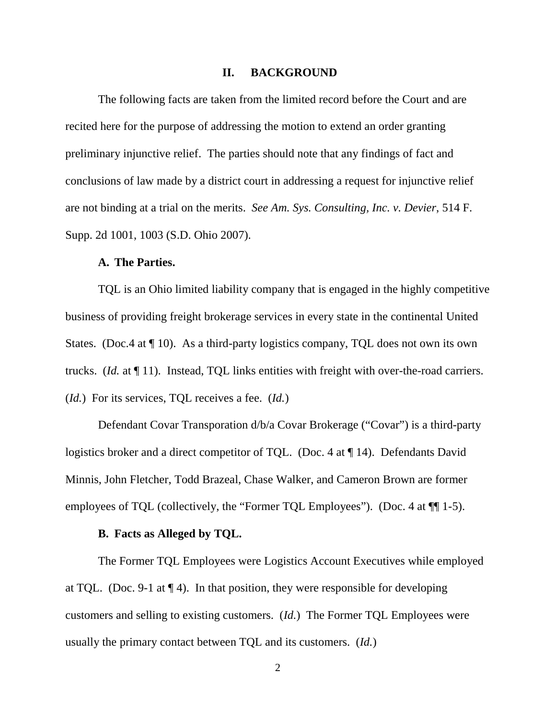#### **II. BACKGROUND**

 The following facts are taken from the limited record before the Court and are recited here for the purpose of addressing the motion to extend an order granting preliminary injunctive relief. The parties should note that any findings of fact and conclusions of law made by a district court in addressing a request for injunctive relief are not binding at a trial on the merits. *See Am. Sys. Consulting, Inc. v. Devier*, 514 F. Supp. 2d 1001, 1003 (S.D. Ohio 2007).

#### **A. The Parties.**

 TQL is an Ohio limited liability company that is engaged in the highly competitive business of providing freight brokerage services in every state in the continental United States. (Doc.4 at  $\P$  10). As a third-party logistics company, TQL does not own its own trucks. (*Id.* at ¶ 11). Instead, TQL links entities with freight with over-the-road carriers. (*Id.*) For its services, TQL receives a fee. (*Id.*)

 Defendant Covar Transporation d/b/a Covar Brokerage ("Covar") is a third-party logistics broker and a direct competitor of TQL. (Doc. 4 at ¶ 14). Defendants David Minnis, John Fletcher, Todd Brazeal, Chase Walker, and Cameron Brown are former employees of TQL (collectively, the "Former TQL Employees"). (Doc. 4 at  $\P$ [1-5).

#### **B. Facts as Alleged by TQL.**

The Former TQL Employees were Logistics Account Executives while employed at TQL. (Doc. 9-1 at  $\P$  4). In that position, they were responsible for developing customers and selling to existing customers. (*Id.*) The Former TQL Employees were usually the primary contact between TQL and its customers. (*Id.*)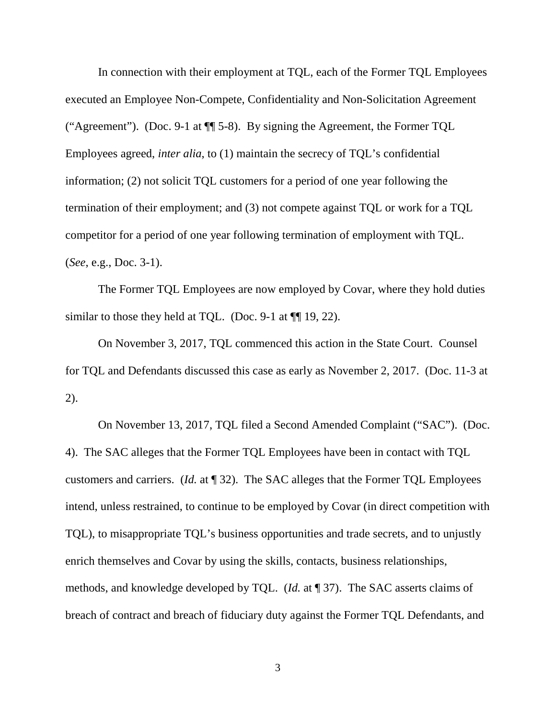In connection with their employment at TQL, each of the Former TQL Employees executed an Employee Non-Compete, Confidentiality and Non-Solicitation Agreement ("Agreement"). (Doc. 9-1 at ¶¶ 5-8). By signing the Agreement, the Former TQL Employees agreed, *inter alia*, to (1) maintain the secrecy of TQL's confidential information; (2) not solicit TQL customers for a period of one year following the termination of their employment; and (3) not compete against TQL or work for a TQL competitor for a period of one year following termination of employment with TQL. (*See*, e.g., Doc. 3-1).

The Former TQL Employees are now employed by Covar, where they hold duties similar to those they held at TQL. (Doc. 9-1 at  $\P$  19, 22).

 On November 3, 2017, TQL commenced this action in the State Court. Counsel for TQL and Defendants discussed this case as early as November 2, 2017. (Doc. 11-3 at 2).

On November 13, 2017, TQL filed a Second Amended Complaint ("SAC"). (Doc. 4). The SAC alleges that the Former TQL Employees have been in contact with TQL customers and carriers. (*Id.* at ¶ 32). The SAC alleges that the Former TQL Employees intend, unless restrained, to continue to be employed by Covar (in direct competition with TQL), to misappropriate TQL's business opportunities and trade secrets, and to unjustly enrich themselves and Covar by using the skills, contacts, business relationships, methods, and knowledge developed by TQL. (*Id.* at ¶ 37). The SAC asserts claims of breach of contract and breach of fiduciary duty against the Former TQL Defendants, and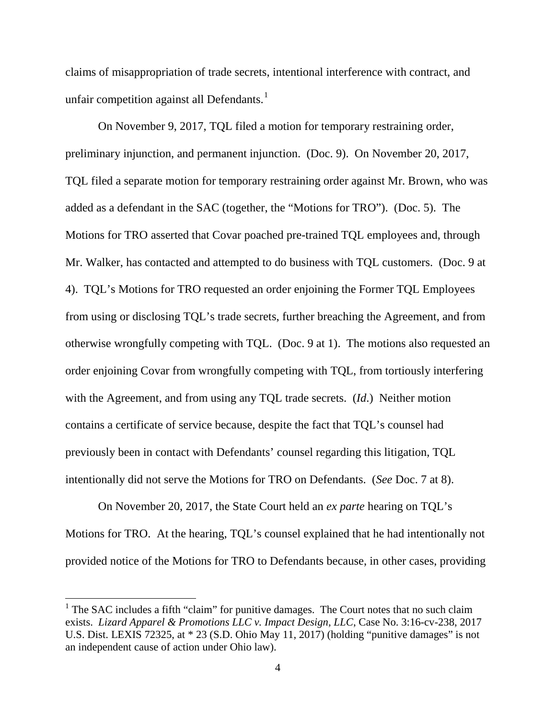claims of misappropriation of trade secrets, intentional interference with contract, and unfair competition against all Defendants.<sup>1</sup>

 On November 9, 2017, TQL filed a motion for temporary restraining order, preliminary injunction, and permanent injunction. (Doc. 9). On November 20, 2017, TQL filed a separate motion for temporary restraining order against Mr. Brown, who was added as a defendant in the SAC (together, the "Motions for TRO"). (Doc. 5). The Motions for TRO asserted that Covar poached pre-trained TQL employees and, through Mr. Walker, has contacted and attempted to do business with TQL customers. (Doc. 9 at 4). TQL's Motions for TRO requested an order enjoining the Former TQL Employees from using or disclosing TQL's trade secrets, further breaching the Agreement, and from otherwise wrongfully competing with TQL. (Doc. 9 at 1). The motions also requested an order enjoining Covar from wrongfully competing with TQL, from tortiously interfering with the Agreement, and from using any TQL trade secrets. (*Id*.) Neither motion contains a certificate of service because, despite the fact that TQL's counsel had previously been in contact with Defendants' counsel regarding this litigation, TQL intentionally did not serve the Motions for TRO on Defendants. (*See* Doc. 7 at 8).

 On November 20, 2017, the State Court held an *ex parte* hearing on TQL's Motions for TRO. At the hearing, TQL's counsel explained that he had intentionally not provided notice of the Motions for TRO to Defendants because, in other cases, providing

 $\overline{a}$ 

 $<sup>1</sup>$  The SAC includes a fifth "claim" for punitive damages. The Court notes that no such claim</sup> exists. *Lizard Apparel & Promotions LLC v. Impact Design, LLC*, Case No. 3:16-cv-238, 2017 U.S. Dist. LEXIS 72325, at \* 23 (S.D. Ohio May 11, 2017) (holding "punitive damages" is not an independent cause of action under Ohio law).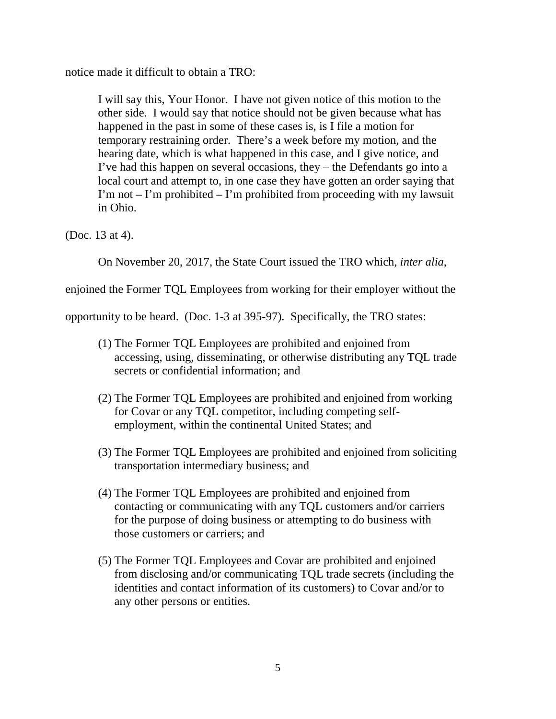notice made it difficult to obtain a TRO:

I will say this, Your Honor. I have not given notice of this motion to the other side. I would say that notice should not be given because what has happened in the past in some of these cases is, is I file a motion for temporary restraining order. There's a week before my motion, and the hearing date, which is what happened in this case, and I give notice, and I've had this happen on several occasions, they – the Defendants go into a local court and attempt to, in one case they have gotten an order saying that I'm not  $-$  I'm prohibited  $-$  I'm prohibited from proceeding with my lawsuit in Ohio.

(Doc. 13 at 4).

On November 20, 2017, the State Court issued the TRO which, *inter alia*,

enjoined the Former TQL Employees from working for their employer without the

opportunity to be heard. (Doc. 1-3 at 395-97). Specifically, the TRO states:

- (1) The Former TQL Employees are prohibited and enjoined from accessing, using, disseminating, or otherwise distributing any TQL trade secrets or confidential information; and
- (2) The Former TQL Employees are prohibited and enjoined from working for Covar or any TQL competitor, including competing selfemployment, within the continental United States; and
- (3) The Former TQL Employees are prohibited and enjoined from soliciting transportation intermediary business; and
- (4) The Former TQL Employees are prohibited and enjoined from contacting or communicating with any TQL customers and/or carriers for the purpose of doing business or attempting to do business with those customers or carriers; and
- (5) The Former TQL Employees and Covar are prohibited and enjoined from disclosing and/or communicating TQL trade secrets (including the identities and contact information of its customers) to Covar and/or to any other persons or entities.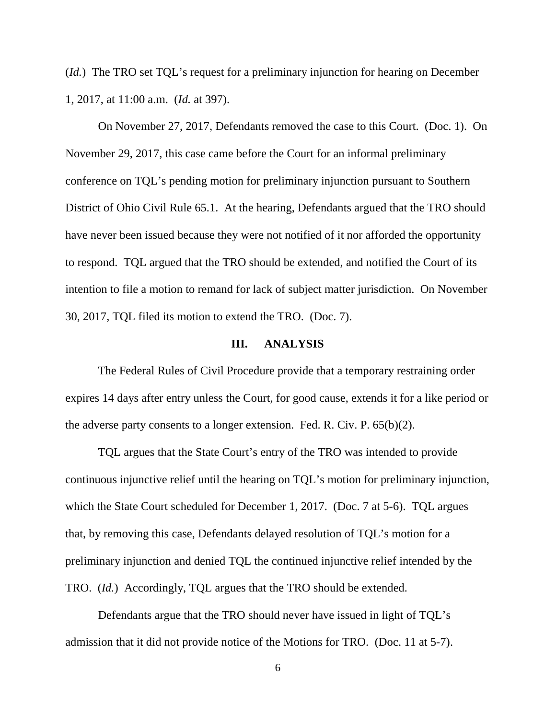(*Id.*) The TRO set TQL's request for a preliminary injunction for hearing on December 1, 2017, at 11:00 a.m. (*Id.* at 397).

 On November 27, 2017, Defendants removed the case to this Court. (Doc. 1). On November 29, 2017, this case came before the Court for an informal preliminary conference on TQL's pending motion for preliminary injunction pursuant to Southern District of Ohio Civil Rule 65.1. At the hearing, Defendants argued that the TRO should have never been issued because they were not notified of it nor afforded the opportunity to respond. TQL argued that the TRO should be extended, and notified the Court of its intention to file a motion to remand for lack of subject matter jurisdiction. On November 30, 2017, TQL filed its motion to extend the TRO. (Doc. 7).

### **III. ANALYSIS**

The Federal Rules of Civil Procedure provide that a temporary restraining order expires 14 days after entry unless the Court, for good cause, extends it for a like period or the adverse party consents to a longer extension. Fed. R. Civ. P. 65(b)(2).

TQL argues that the State Court's entry of the TRO was intended to provide continuous injunctive relief until the hearing on TQL's motion for preliminary injunction, which the State Court scheduled for December 1, 2017. (Doc. 7 at 5-6). TQL argues that, by removing this case, Defendants delayed resolution of TQL's motion for a preliminary injunction and denied TQL the continued injunctive relief intended by the TRO. (*Id.*) Accordingly, TQL argues that the TRO should be extended.

Defendants argue that the TRO should never have issued in light of TQL's admission that it did not provide notice of the Motions for TRO. (Doc. 11 at 5-7).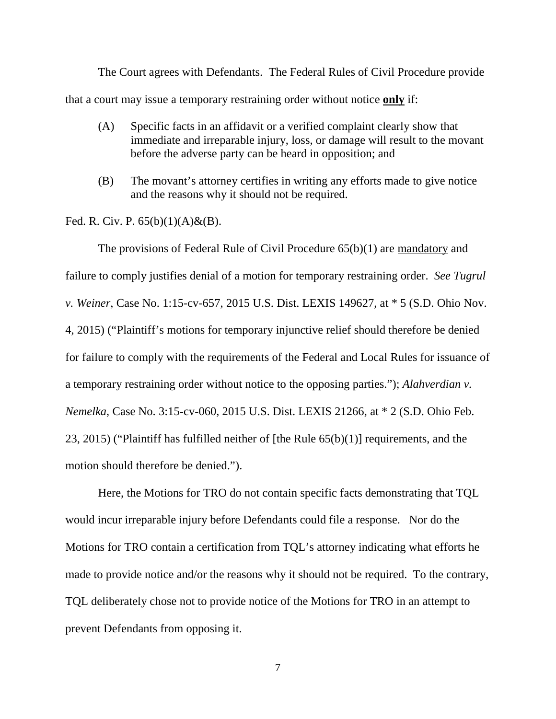The Court agrees with Defendants. The Federal Rules of Civil Procedure provide that a court may issue a temporary restraining order without notice **only** if:

- (A) Specific facts in an affidavit or a verified complaint clearly show that immediate and irreparable injury, loss, or damage will result to the movant before the adverse party can be heard in opposition; and
- (B) The movant's attorney certifies in writing any efforts made to give notice and the reasons why it should not be required.

Fed. R. Civ. P.  $65(b)(1)(A) & (B)$ .

The provisions of Federal Rule of Civil Procedure 65(b)(1) are mandatory and failure to comply justifies denial of a motion for temporary restraining order. *See Tugrul v. Weiner*, Case No. 1:15-cv-657, 2015 U.S. Dist. LEXIS 149627, at \* 5 (S.D. Ohio Nov. 4, 2015) ("Plaintiff's motions for temporary injunctive relief should therefore be denied for failure to comply with the requirements of the Federal and Local Rules for issuance of a temporary restraining order without notice to the opposing parties."); *Alahverdian v. Nemelka*, Case No. 3:15-cv-060, 2015 U.S. Dist. LEXIS 21266, at \* 2 (S.D. Ohio Feb. 23, 2015) ("Plaintiff has fulfilled neither of [the Rule 65(b)(1)] requirements, and the motion should therefore be denied.").

Here, the Motions for TRO do not contain specific facts demonstrating that TQL would incur irreparable injury before Defendants could file a response. Nor do the Motions for TRO contain a certification from TQL's attorney indicating what efforts he made to provide notice and/or the reasons why it should not be required. To the contrary, TQL deliberately chose not to provide notice of the Motions for TRO in an attempt to prevent Defendants from opposing it.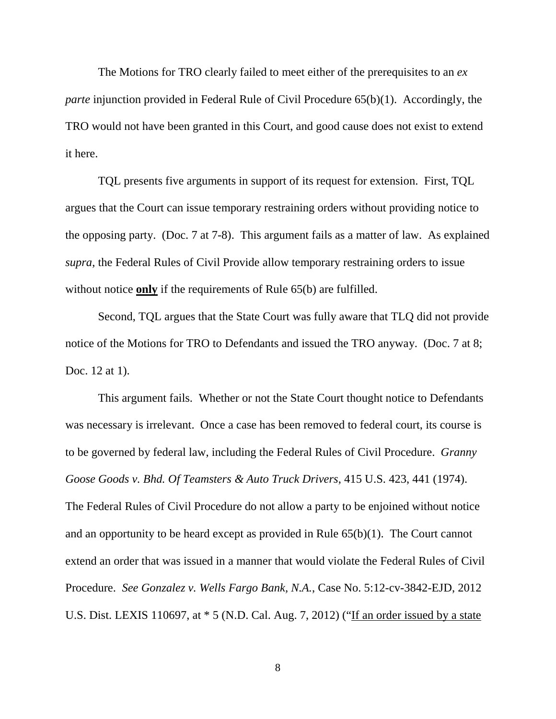The Motions for TRO clearly failed to meet either of the prerequisites to an *ex parte* injunction provided in Federal Rule of Civil Procedure 65(b)(1). Accordingly, the TRO would not have been granted in this Court, and good cause does not exist to extend it here.

TQL presents five arguments in support of its request for extension. First, TQL argues that the Court can issue temporary restraining orders without providing notice to the opposing party. (Doc. 7 at 7-8). This argument fails as a matter of law. As explained *supra*, the Federal Rules of Civil Provide allow temporary restraining orders to issue without notice **only** if the requirements of Rule 65(b) are fulfilled.

Second, TQL argues that the State Court was fully aware that TLQ did not provide notice of the Motions for TRO to Defendants and issued the TRO anyway. (Doc. 7 at 8; Doc. 12 at 1).

This argument fails. Whether or not the State Court thought notice to Defendants was necessary is irrelevant. Once a case has been removed to federal court, its course is to be governed by federal law, including the Federal Rules of Civil Procedure. *Granny Goose Goods v. Bhd. Of Teamsters & Auto Truck Drivers*, 415 U.S. 423, 441 (1974). The Federal Rules of Civil Procedure do not allow a party to be enjoined without notice and an opportunity to be heard except as provided in Rule 65(b)(1). The Court cannot extend an order that was issued in a manner that would violate the Federal Rules of Civil Procedure. *See Gonzalez v. Wells Fargo Bank, N.A.*, Case No. 5:12-cv-3842-EJD, 2012 U.S. Dist. LEXIS 110697, at \* 5 (N.D. Cal. Aug. 7, 2012) ("If an order issued by a state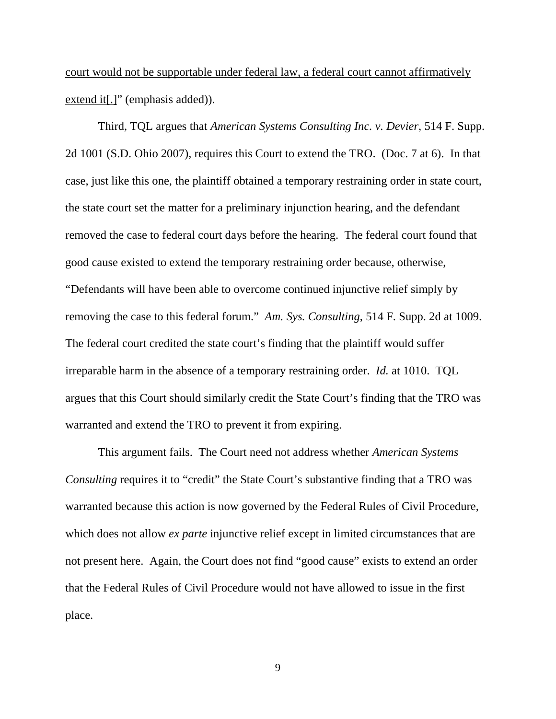court would not be supportable under federal law, a federal court cannot affirmatively extend it[.]" (emphasis added)).

Third, TQL argues that *American Systems Consulting Inc. v. Devier*, 514 F. Supp. 2d 1001 (S.D. Ohio 2007), requires this Court to extend the TRO. (Doc. 7 at 6). In that case, just like this one, the plaintiff obtained a temporary restraining order in state court, the state court set the matter for a preliminary injunction hearing, and the defendant removed the case to federal court days before the hearing. The federal court found that good cause existed to extend the temporary restraining order because, otherwise, "Defendants will have been able to overcome continued injunctive relief simply by removing the case to this federal forum." *Am. Sys. Consulting*, 514 F. Supp. 2d at 1009. The federal court credited the state court's finding that the plaintiff would suffer irreparable harm in the absence of a temporary restraining order. *Id.* at 1010. TQL argues that this Court should similarly credit the State Court's finding that the TRO was warranted and extend the TRO to prevent it from expiring.

This argument fails. The Court need not address whether *American Systems Consulting* requires it to "credit" the State Court's substantive finding that a TRO was warranted because this action is now governed by the Federal Rules of Civil Procedure, which does not allow *ex parte* injunctive relief except in limited circumstances that are not present here. Again, the Court does not find "good cause" exists to extend an order that the Federal Rules of Civil Procedure would not have allowed to issue in the first place.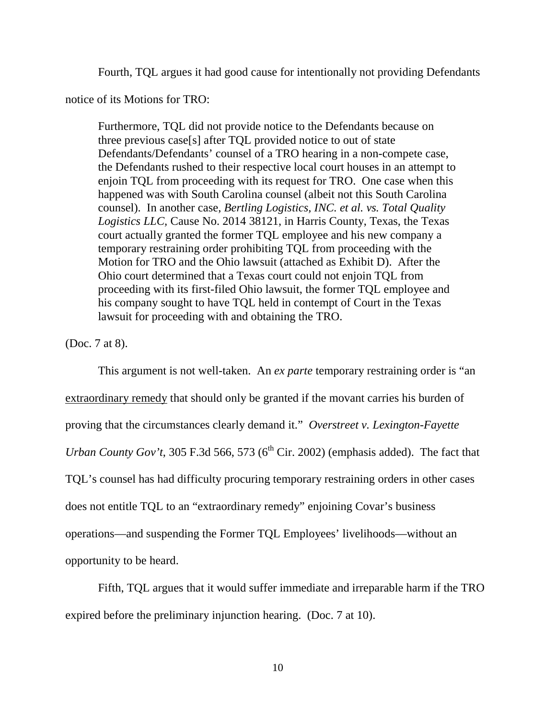Fourth, TQL argues it had good cause for intentionally not providing Defendants

notice of its Motions for TRO:

Furthermore, TQL did not provide notice to the Defendants because on three previous case[s] after TQL provided notice to out of state Defendants/Defendants' counsel of a TRO hearing in a non-compete case, the Defendants rushed to their respective local court houses in an attempt to enjoin TQL from proceeding with its request for TRO. One case when this happened was with South Carolina counsel (albeit not this South Carolina counsel). In another case, *Bertling Logistics, INC. et al. vs. Total Quality Logistics LLC,* Cause No. 2014 38121, in Harris County, Texas, the Texas court actually granted the former TQL employee and his new company a temporary restraining order prohibiting TQL from proceeding with the Motion for TRO and the Ohio lawsuit (attached as Exhibit D). After the Ohio court determined that a Texas court could not enjoin TQL from proceeding with its first-filed Ohio lawsuit, the former TQL employee and his company sought to have TQL held in contempt of Court in the Texas lawsuit for proceeding with and obtaining the TRO.

(Doc. 7 at 8).

This argument is not well-taken. An *ex parte* temporary restraining order is "an extraordinary remedy that should only be granted if the movant carries his burden of proving that the circumstances clearly demand it." *Overstreet v. Lexington-Fayette Urban County Gov't*, 305 F.3d 566, 573 ( $6<sup>th</sup>$  Cir. 2002) (emphasis added). The fact that TQL's counsel has had difficulty procuring temporary restraining orders in other cases does not entitle TQL to an "extraordinary remedy" enjoining Covar's business operations—and suspending the Former TQL Employees' livelihoods—without an opportunity to be heard.

Fifth, TQL argues that it would suffer immediate and irreparable harm if the TRO expired before the preliminary injunction hearing. (Doc. 7 at 10).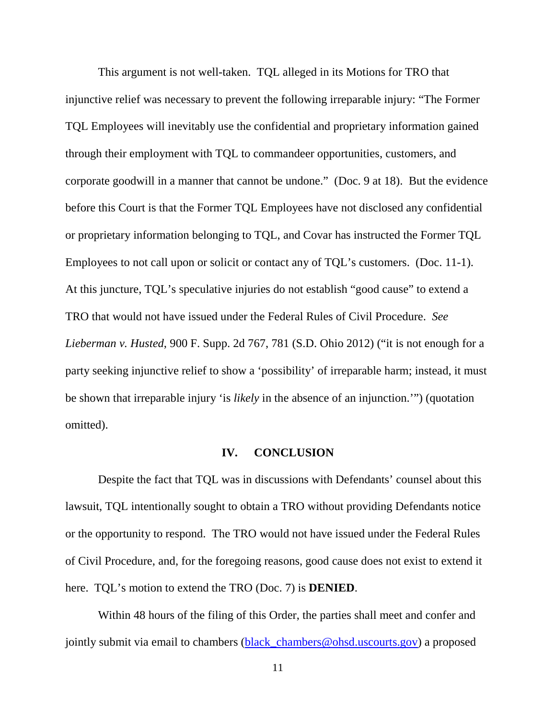This argument is not well-taken. TQL alleged in its Motions for TRO that injunctive relief was necessary to prevent the following irreparable injury: "The Former TQL Employees will inevitably use the confidential and proprietary information gained through their employment with TQL to commandeer opportunities, customers, and corporate goodwill in a manner that cannot be undone." (Doc. 9 at 18). But the evidence before this Court is that the Former TQL Employees have not disclosed any confidential or proprietary information belonging to TQL, and Covar has instructed the Former TQL Employees to not call upon or solicit or contact any of TQL's customers. (Doc. 11-1). At this juncture, TQL's speculative injuries do not establish "good cause" to extend a TRO that would not have issued under the Federal Rules of Civil Procedure. *See Lieberman v. Husted*, 900 F. Supp. 2d 767, 781 (S.D. Ohio 2012) ("it is not enough for a party seeking injunctive relief to show a 'possibility' of irreparable harm; instead, it must be shown that irreparable injury 'is *likely* in the absence of an injunction.'") (quotation omitted).

#### **IV. CONCLUSION**

Despite the fact that TQL was in discussions with Defendants' counsel about this lawsuit, TQL intentionally sought to obtain a TRO without providing Defendants notice or the opportunity to respond. The TRO would not have issued under the Federal Rules of Civil Procedure, and, for the foregoing reasons, good cause does not exist to extend it here. TQL's motion to extend the TRO (Doc. 7) is **DENIED**.

Within 48 hours of the filing of this Order, the parties shall meet and confer and jointly submit via email to chambers (black\_chambers@ohsd.uscourts.gov) a proposed